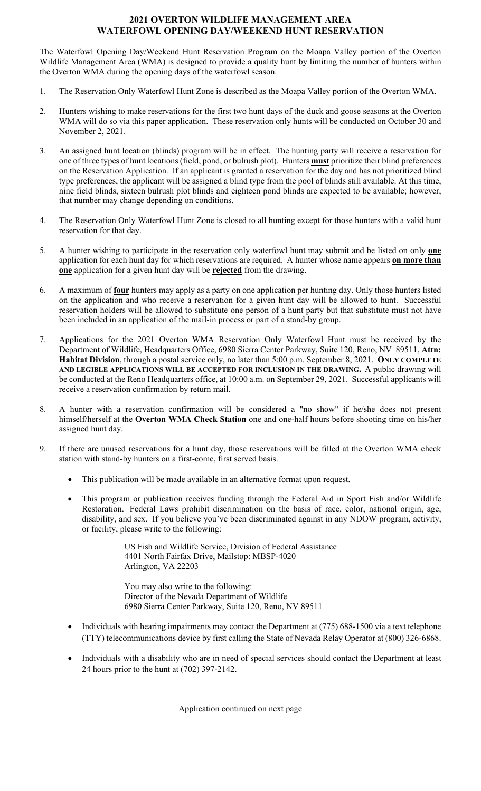## **2021 OVERTON WILDLIFE MANAGEMENT AREA WATERFOWL OPENING DAY/WEEKEND HUNT RESERVATION**

 Wildlife Management Area (WMA) is designed to provide a quality hunt by limiting the number of hunters within the Overton WMA during the opening days of the waterfowl season. The Waterfowl Opening Day/Weekend Hunt Reservation Program on the Moapa Valley portion of the Overton

- 1. The Reservation Only Waterfowl Hunt Zone is described as the Moapa Valley portion of the Overton WMA.
- WMA will do so via this paper application. These reservation only hunts will be conducted on October 30 and November 2, 2021. 2. Hunters wishing to make reservations for the first two hunt days of the duck and goose seasons at the Overton
- November 2, 2021.<br>3. An assigned hunt location (blinds) program will be in effect. The hunting party will receive a reservation for on the Reservation Application. If an applicant is granted a reservation for the day and has not prioritized blind nine field blinds, sixteen bulrush plot blinds and eighteen pond blinds are expected to be available; however, that number may change depending on conditions. one of three types of hunt locations (field, pond, or bulrush plot). Hunters **must** prioritize their blind preferences type preferences, the applicant will be assigned a blind type from the pool of blinds still available. At this time,
- that number may change depending on conditions. 4. The Reservation Only Waterfowl Hunt Zone is closed to all hunting except for those hunters with a valid hunt reservation for that day.
- 5. A hunter wishing to participate in the reservation only waterfowl hunt may submit and be listed on only **one one** application for a given hunt day will be **rejected** from the drawing. application for each hunt day for which reservations are required. A hunter whose name appears **on more than**
- reservation holders will be allowed to substitute one person of a hunt party but that substitute must not have 6. A maximum of **four** hunters may apply as a party on one application per hunting day. Only those hunters listed on the application and who receive a reservation for a given hunt day will be allowed to hunt. Successful been included in an application of the mail-in process or part of a stand-by group.
- 7. Applications for the 2021 Overton WMA Reservation Only Waterfowl Hunt must be received by the **Habitat Division**, through a postal service only, no later than 5:00 p.m. September 8, 2021. **ONLY COMPLETE AND LEGIBLE APPLICATIONS WILL BE ACCEPTED FOR INCLUSION IN THE DRAWING.** A public drawing will Department of Wildlife, Headquarters Office, 6980 Sierra Center Parkway, Suite 120, Reno, NV 89511, **Attn:**  be conducted at the Reno Headquarters office, at 10:00 a.m. on September 29, 2021. Successful applicants will receive a reservation confirmation by return mail.
- 8. A hunter with a reservation confirmation will be considered a "no show" if he/she does not present himself/herself at the **Overton WMA Check Station** one and one-half hours before shooting time on his/her assigned hunt day.
- 9. If there are unused reservations for a hunt day, those reservations will be filled at the Overton WMA check station with stand-by hunters on a first-come, first served basis.
	- This publication will be made available in an alternative format upon request.
	- Restoration. Federal Laws prohibit discrimination on the basis of race, color, national origin, age, disability, and sex. If you believe you've been discriminated against in any NDOW program, activity, This program or publication receives funding through the Federal Aid in Sport Fish and/or Wildlife or facility, please write to the following:

US Fish and Wildlife Service, Division of Federal Assistance 4401 North Fairfax Drive, Mailstop: MBSP-4020 Arlington, VA 22203

You may also write to the following: Director of the Nevada Department of Wildlife 6980 Sierra Center Parkway, Suite 120, Reno, NV 89511

- (TTY) telecommunications device by first calling the State of Nevada Relay Operator at (800) 326-6868. • Individuals with hearing impairments may contact the Department at (775) 688-1500 via a text telephone
- Individuals with a disability who are in need of special services should contact the Department at least 24 hours prior to the hunt at (702) 397-2142.

Application continued on next page